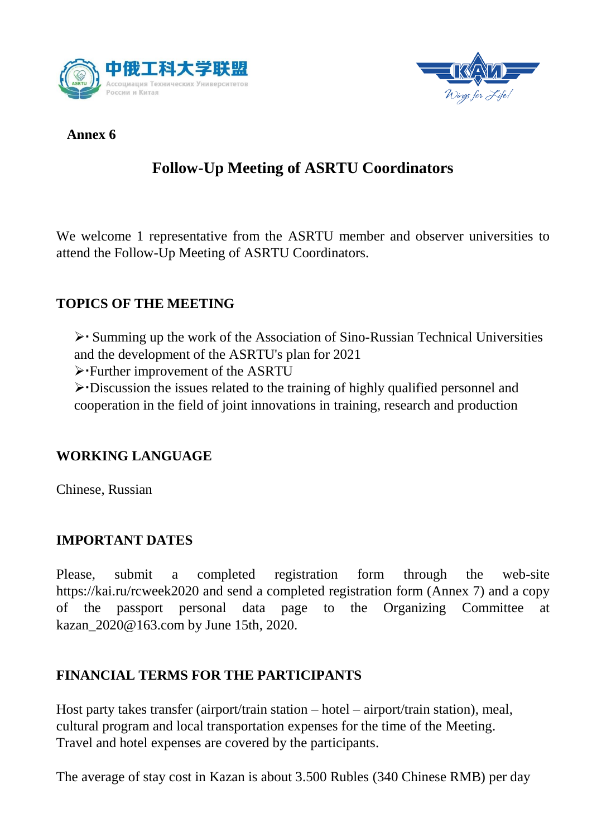



#### **Annex 6**

# **Follow-Up Meeting of ASRTU Coordinators**

We welcome 1 representative from the ASRTU member and observer universities to attend the Follow-Up Meeting of ASRTU Coordinators.

#### **TOPICS OF THE MEETING**

 Summing up the work of the Association of Sino-Russian Technical Universities and the development of the ASRTU's plan for 2021

Further improvement of the ASRTU

Discussion the issues related to the training of highly qualified personnel and cooperation in the field of joint innovations in training, research and production

#### **WORKING LANGUAGE**

Chinese, Russian

#### **IMPORTANT DATES**

Please, submit a completed registration form through the web-site https://kai.ru/rcweek2020 and send a completed registration form (Annex 7) and a copy of the passport personal data page to the Organizing Committee at kazan\_2020@163.com by June 15th, 2020.

#### **FINANCIAL TERMS FOR THE PARTICIPANTS**

Host party takes transfer (airport/train station – hotel – airport/train station), meal, cultural program and local transportation expenses for the time of the Meeting. Travel and hotel expenses are covered by the participants.

The average of stay cost in Kazan is about 3.500 Rubles (340 Chinese RMB) per day